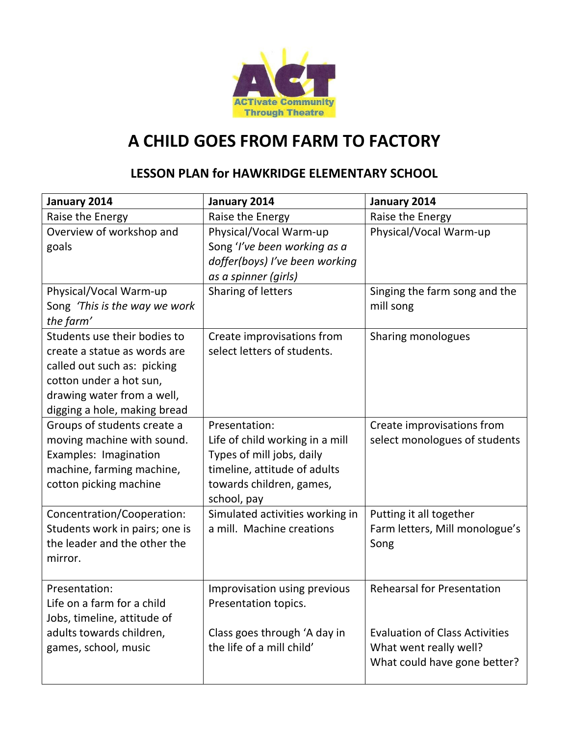

## **A CHILD GOES FROM FARM TO FACTORY**

## **LESSON PLAN for HAWKRIDGE ELEMENTARY SCHOOL**

| January 2014                                                                                                                                                                         | January 2014                                                                                                                                             | January 2014                                                                                                                         |
|--------------------------------------------------------------------------------------------------------------------------------------------------------------------------------------|----------------------------------------------------------------------------------------------------------------------------------------------------------|--------------------------------------------------------------------------------------------------------------------------------------|
| Raise the Energy                                                                                                                                                                     | Raise the Energy                                                                                                                                         | Raise the Energy                                                                                                                     |
| Overview of workshop and<br>goals                                                                                                                                                    | Physical/Vocal Warm-up<br>Song 'I've been working as a<br>doffer(boys) I've been working<br>as a spinner (girls)                                         | Physical/Vocal Warm-up                                                                                                               |
| Physical/Vocal Warm-up<br>Song 'This is the way we work<br>the farm'                                                                                                                 | Sharing of letters                                                                                                                                       | Singing the farm song and the<br>mill song                                                                                           |
| Students use their bodies to<br>create a statue as words are<br>called out such as: picking<br>cotton under a hot sun,<br>drawing water from a well,<br>digging a hole, making bread | Create improvisations from<br>select letters of students.                                                                                                | Sharing monologues                                                                                                                   |
| Groups of students create a<br>moving machine with sound.<br>Examples: Imagination<br>machine, farming machine,<br>cotton picking machine                                            | Presentation:<br>Life of child working in a mill<br>Types of mill jobs, daily<br>timeline, attitude of adults<br>towards children, games,<br>school, pay | Create improvisations from<br>select monologues of students                                                                          |
| Concentration/Cooperation:<br>Students work in pairs; one is<br>the leader and the other the<br>mirror.                                                                              | Simulated activities working in<br>a mill. Machine creations                                                                                             | Putting it all together<br>Farm letters, Mill monologue's<br>Song                                                                    |
| Presentation:<br>Life on a farm for a child<br>Jobs, timeline, attitude of<br>adults towards children,<br>games, school, music                                                       | Improvisation using previous<br>Presentation topics.<br>Class goes through 'A day in<br>the life of a mill child'                                        | <b>Rehearsal for Presentation</b><br><b>Evaluation of Class Activities</b><br>What went really well?<br>What could have gone better? |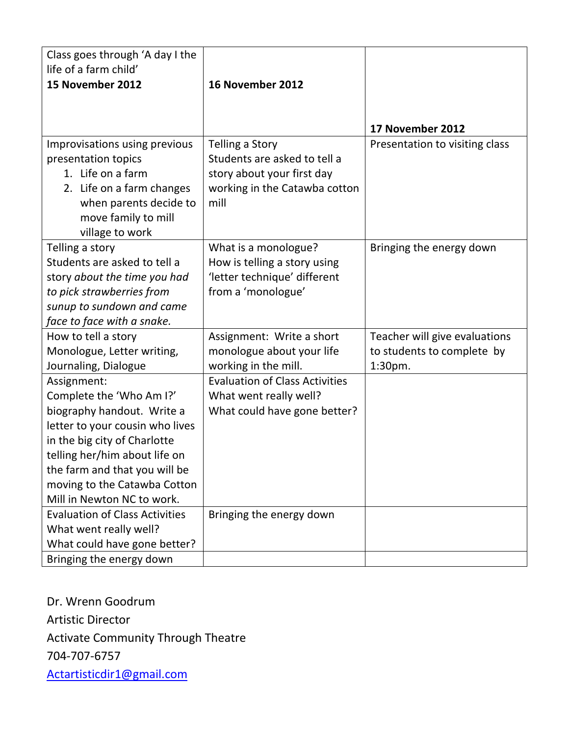| 15 November 2012<br>16 November 2012<br>17 November 2012<br>Improvisations using previous<br><b>Telling a Story</b><br>Presentation to visiting class<br>Students are asked to tell a<br>presentation topics<br>1. Life on a farm<br>story about your first day<br>2. Life on a farm changes<br>working in the Catawba cotton<br>when parents decide to<br>mill<br>move family to mill<br>village to work<br>Telling a story<br>What is a monologue?<br>Bringing the energy down<br>Students are asked to tell a<br>How is telling a story using<br>'letter technique' different<br>story about the time you had<br>from a 'monologue'<br>to pick strawberries from<br>sunup to sundown and came<br>face to face with a snake.<br>Teacher will give evaluations<br>How to tell a story<br>Assignment: Write a short<br>monologue about your life<br>Monologue, Letter writing,<br>to students to complete by<br>working in the mill.<br>Journaling, Dialogue<br>1:30pm.<br><b>Evaluation of Class Activities</b><br>Assignment:<br>Complete the 'Who Am I?'<br>What went really well?<br>biography handout. Write a<br>What could have gone better?<br>letter to your cousin who lives<br>in the big city of Charlotte<br>telling her/him about life on<br>the farm and that you will be | Class goes through 'A day I the<br>life of a farm child' |  |
|------------------------------------------------------------------------------------------------------------------------------------------------------------------------------------------------------------------------------------------------------------------------------------------------------------------------------------------------------------------------------------------------------------------------------------------------------------------------------------------------------------------------------------------------------------------------------------------------------------------------------------------------------------------------------------------------------------------------------------------------------------------------------------------------------------------------------------------------------------------------------------------------------------------------------------------------------------------------------------------------------------------------------------------------------------------------------------------------------------------------------------------------------------------------------------------------------------------------------------------------------------------------------------------|----------------------------------------------------------|--|
|                                                                                                                                                                                                                                                                                                                                                                                                                                                                                                                                                                                                                                                                                                                                                                                                                                                                                                                                                                                                                                                                                                                                                                                                                                                                                          |                                                          |  |
|                                                                                                                                                                                                                                                                                                                                                                                                                                                                                                                                                                                                                                                                                                                                                                                                                                                                                                                                                                                                                                                                                                                                                                                                                                                                                          |                                                          |  |
|                                                                                                                                                                                                                                                                                                                                                                                                                                                                                                                                                                                                                                                                                                                                                                                                                                                                                                                                                                                                                                                                                                                                                                                                                                                                                          |                                                          |  |
|                                                                                                                                                                                                                                                                                                                                                                                                                                                                                                                                                                                                                                                                                                                                                                                                                                                                                                                                                                                                                                                                                                                                                                                                                                                                                          |                                                          |  |
|                                                                                                                                                                                                                                                                                                                                                                                                                                                                                                                                                                                                                                                                                                                                                                                                                                                                                                                                                                                                                                                                                                                                                                                                                                                                                          |                                                          |  |
|                                                                                                                                                                                                                                                                                                                                                                                                                                                                                                                                                                                                                                                                                                                                                                                                                                                                                                                                                                                                                                                                                                                                                                                                                                                                                          |                                                          |  |
|                                                                                                                                                                                                                                                                                                                                                                                                                                                                                                                                                                                                                                                                                                                                                                                                                                                                                                                                                                                                                                                                                                                                                                                                                                                                                          |                                                          |  |
| Mill in Newton NC to work.                                                                                                                                                                                                                                                                                                                                                                                                                                                                                                                                                                                                                                                                                                                                                                                                                                                                                                                                                                                                                                                                                                                                                                                                                                                               | moving to the Catawba Cotton                             |  |
| <b>Evaluation of Class Activities</b><br>Bringing the energy down<br>What went really well?<br>What could have gone better?<br>Bringing the energy down                                                                                                                                                                                                                                                                                                                                                                                                                                                                                                                                                                                                                                                                                                                                                                                                                                                                                                                                                                                                                                                                                                                                  |                                                          |  |

Dr. Wrenn Goodrum Artistic Director Activate Community Through Theatre 704-707-6757 [Actartisticdir1@gmail.com](mailto:Actartisticdir1@gmail.com)